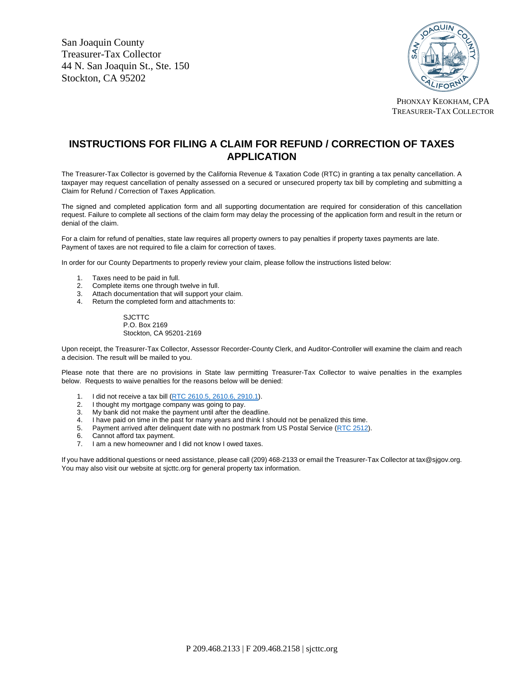San Joaquin County Treasurer-Tax Collector 44 N. San Joaquin St., Ste. 150 Stockton, CA 95202



PHONXAY KEOKHAM, CPA TREASURER-TAX COLLECTOR

## **INSTRUCTIONS FOR FILING A CLAIM FOR REFUND / CORRECTION OF TAXES APPLICATION**

The Treasurer-Tax Collector is governed by the California Revenue & Taxation Code (RTC) in granting a tax penalty cancellation. A taxpayer may request cancellation of penalty assessed on a secured or unsecured property tax bill by completing and submitting a Claim for Refund / Correction of Taxes Application.

The signed and completed application form and all supporting documentation are required for consideration of this cancellation request. Failure to complete all sections of the claim form may delay the processing of the application form and result in the return or denial of the claim.

For a claim for refund of penalties, state law requires all property owners to pay penalties if property taxes payments are late. Payment of taxes are not required to file a claim for correction of taxes.

In order for our County Departments to properly review your claim, please follow the instructions listed below:

- 1. Taxes need to be paid in full.
- 2. Complete items one through twelve in full.
- 3. Attach documentation that will support your claim.
- 4. Return the completed form and attachments to:

SJCTTC P.O. Box 2169 Stockton, CA 95201-2169

Upon receipt, the Treasurer-Tax Collector, Assessor Recorder-County Clerk, and Auditor-Controller will examine the claim and reach a decision. The result will be mailed to you.

Please note that there are no provisions in State law permitting Treasurer-Tax Collector to waive penalties in the examples below. Requests to waive penalties for the reasons below will be denied:

- 1. I did not receive a tax bill [\(RTC 2610.5,](http://leginfo.legislature.ca.gov/faces/codes_displaySection.xhtml?lawCode=RTC§ionNum=2610.5.) [2610.6,](http://leginfo.legislature.ca.gov/faces/codes_displaySection.xhtml?lawCode=RTC§ionNum=2610.6.) [2910.1\)](http://leginfo.legislature.ca.gov/faces/codes_displaySection.xhtml?lawCode=RTC§ionNum=2910.1).
- 2. I thought my mortgage company was going to pay.
- 3. My bank did not make the payment until after the deadline.
- 4. I have paid on time in the past for many years and think I should not be penalized this time.
- 5. Payment arrived after delinquent date with no postmark from US Postal Service [\(RTC 2512\).](http://leginfo.legislature.ca.gov/faces/codes_displaySection.xhtml?sectionNum=2512.&lawCode=RTC)
- 6. Cannot afford tax payment.
- 7. I am a new homeowner and I did not know I owed taxes.

If you have additional questions or need assistance, please call (209) 468-2133 or email the Treasurer-Tax Collector at tax@sjgov.org. You may also visit our website at sjcttc.org for general property tax information.